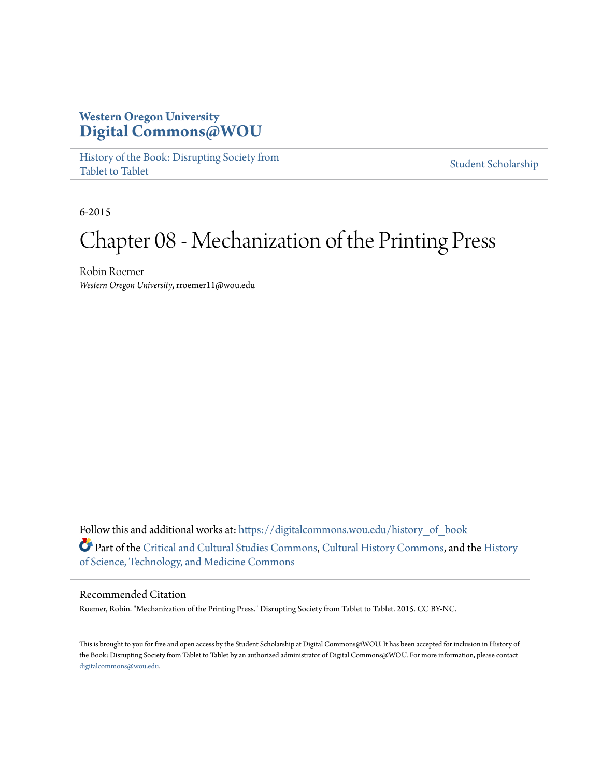### **Western Oregon University [Digital Commons@WOU](https://digitalcommons.wou.edu?utm_source=digitalcommons.wou.edu%2Fhistory_of_book%2F9&utm_medium=PDF&utm_campaign=PDFCoverPages)**

[History of the Book: Disrupting Society from](https://digitalcommons.wou.edu/history_of_book?utm_source=digitalcommons.wou.edu%2Fhistory_of_book%2F9&utm_medium=PDF&utm_campaign=PDFCoverPages) [Tablet to Tablet](https://digitalcommons.wou.edu/history_of_book?utm_source=digitalcommons.wou.edu%2Fhistory_of_book%2F9&utm_medium=PDF&utm_campaign=PDFCoverPages)

[Student Scholarship](https://digitalcommons.wou.edu/student_scholarship?utm_source=digitalcommons.wou.edu%2Fhistory_of_book%2F9&utm_medium=PDF&utm_campaign=PDFCoverPages)

6-2015

# Chapter 08 - Mechanization of the Printing Press

Robin Roemer *Western Oregon University*, rroemer11@wou.edu

Follow this and additional works at: [https://digitalcommons.wou.edu/history\\_of\\_book](https://digitalcommons.wou.edu/history_of_book?utm_source=digitalcommons.wou.edu%2Fhistory_of_book%2F9&utm_medium=PDF&utm_campaign=PDFCoverPages) Part of the [Critical and Cultural Studies Commons](http://network.bepress.com/hgg/discipline/328?utm_source=digitalcommons.wou.edu%2Fhistory_of_book%2F9&utm_medium=PDF&utm_campaign=PDFCoverPages), [Cultural History Commons](http://network.bepress.com/hgg/discipline/496?utm_source=digitalcommons.wou.edu%2Fhistory_of_book%2F9&utm_medium=PDF&utm_campaign=PDFCoverPages), and the [History](http://network.bepress.com/hgg/discipline/500?utm_source=digitalcommons.wou.edu%2Fhistory_of_book%2F9&utm_medium=PDF&utm_campaign=PDFCoverPages) [of Science, Technology, and Medicine Commons](http://network.bepress.com/hgg/discipline/500?utm_source=digitalcommons.wou.edu%2Fhistory_of_book%2F9&utm_medium=PDF&utm_campaign=PDFCoverPages)

#### Recommended Citation

Roemer, Robin. "Mechanization of the Printing Press." Disrupting Society from Tablet to Tablet. 2015. CC BY-NC.

This is brought to you for free and open access by the Student Scholarship at Digital Commons@WOU. It has been accepted for inclusion in History of the Book: Disrupting Society from Tablet to Tablet by an authorized administrator of Digital Commons@WOU. For more information, please contact [digitalcommons@wou.edu.](mailto:digitalcommons@wou.edu)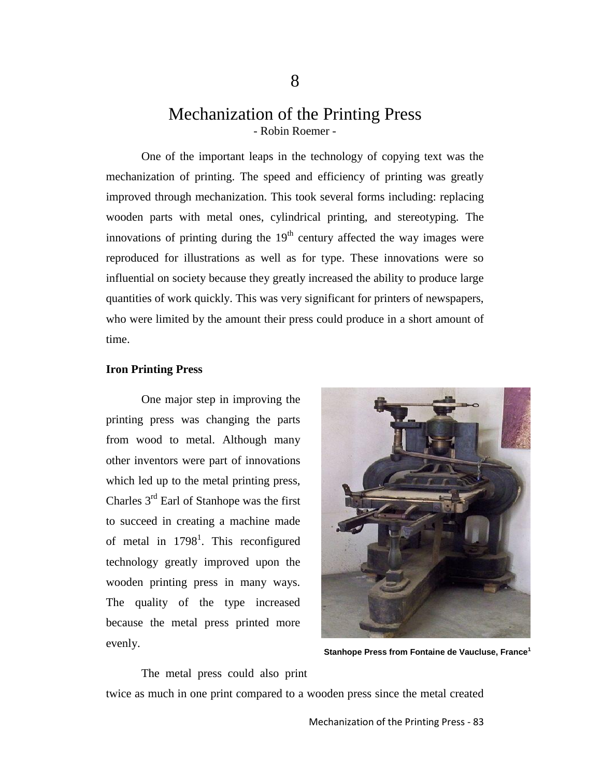## Mechanization of the Printing Press - Robin Roemer -

One of the important leaps in the technology of copying text was the mechanization of printing. The speed and efficiency of printing was greatly improved through mechanization. This took several forms including: replacing wooden parts with metal ones, cylindrical printing, and stereotyping. The innovations of printing during the  $19<sup>th</sup>$  century affected the way images were reproduced for illustrations as well as for type. These innovations were so influential on society because they greatly increased the ability to produce large quantities of work quickly. This was very significant for printers of newspapers, who were limited by the amount their press could produce in a short amount of time.

#### **Iron Printing Press**

One major step in improving the printing press was changing the parts from wood to metal. Although many other inventors were part of innovations which led up to the metal printing press, Charles  $3<sup>rd</sup>$  Earl of Stanhope was the first to succeed in creating a machine made of metal in  $1798<sup>1</sup>$ . This reconfigured technology greatly improved upon the wooden printing press in many ways. The quality of the type increased because the metal press printed more evenly.



**Stanhope Press from Fontaine de Vaucluse, France<sup>1</sup>**

The metal press could also print twice as much in one print compared to a wooden press since the metal created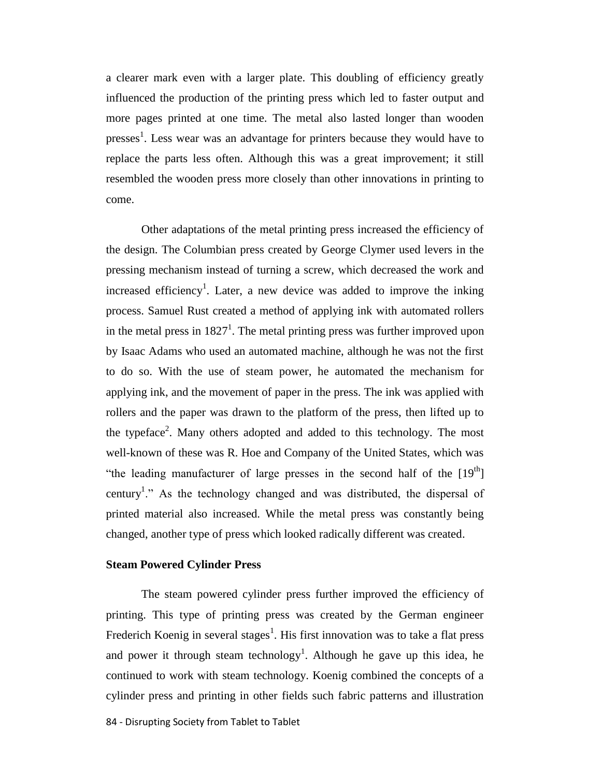a clearer mark even with a larger plate. This doubling of efficiency greatly influenced the production of the printing press which led to faster output and more pages printed at one time. The metal also lasted longer than wooden presses<sup>1</sup>. Less wear was an advantage for printers because they would have to replace the parts less often. Although this was a great improvement; it still resembled the wooden press more closely than other innovations in printing to come.

Other adaptations of the metal printing press increased the efficiency of the design. The Columbian press created by George Clymer used levers in the pressing mechanism instead of turning a screw, which decreased the work and increased efficiency<sup>1</sup>. Later, a new device was added to improve the inking process. Samuel Rust created a method of applying ink with automated rollers in the metal press in  $1827<sup>1</sup>$ . The metal printing press was further improved upon by Isaac Adams who used an automated machine, although he was not the first to do so. With the use of steam power, he automated the mechanism for applying ink, and the movement of paper in the press. The ink was applied with rollers and the paper was drawn to the platform of the press, then lifted up to the typeface<sup>2</sup>. Many others adopted and added to this technology. The most well-known of these was R. Hoe and Company of the United States, which was "the leading manufacturer of large presses in the second half of the  $[19<sup>th</sup>]$ century<sup>1</sup>." As the technology changed and was distributed, the dispersal of printed material also increased. While the metal press was constantly being changed, another type of press which looked radically different was created.

#### **Steam Powered Cylinder Press**

The steam powered cylinder press further improved the efficiency of printing. This type of printing press was created by the German engineer Frederich Koenig in several stages<sup>1</sup>. His first innovation was to take a flat press and power it through steam technology<sup>1</sup>. Although he gave up this idea, he continued to work with steam technology. Koenig combined the concepts of a cylinder press and printing in other fields such fabric patterns and illustration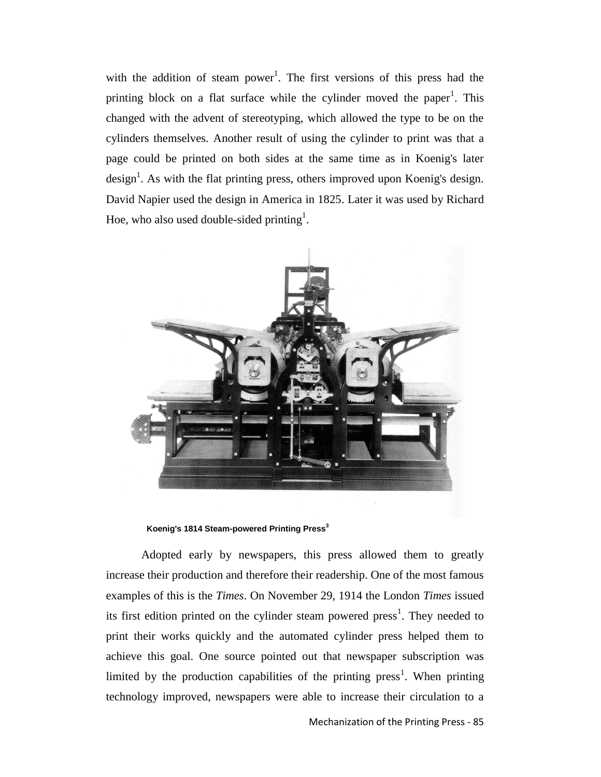with the addition of steam power<sup>1</sup>. The first versions of this press had the printing block on a flat surface while the cylinder moved the paper<sup>1</sup>. This changed with the advent of stereotyping, which allowed the type to be on the cylinders themselves. Another result of using the cylinder to print was that a page could be printed on both sides at the same time as in Koenig's later design<sup>1</sup>. As with the flat printing press, others improved upon Koenig's design. David Napier used the design in America in 1825. Later it was used by Richard Hoe, who also used double-sided printing<sup>1</sup>.



**Koenig's 1814 Steam-powered Printing Press<sup>3</sup>**

Adopted early by newspapers, this press allowed them to greatly increase their production and therefore their readership. One of the most famous examples of this is the *Times*. On November 29, 1914 the London *Times* issued its first edition printed on the cylinder steam powered  ${\rm press}^1$ . They needed to print their works quickly and the automated cylinder press helped them to achieve this goal. One source pointed out that newspaper subscription was limited by the production capabilities of the printing  ${\rm press}^1$ . When printing technology improved, newspapers were able to increase their circulation to a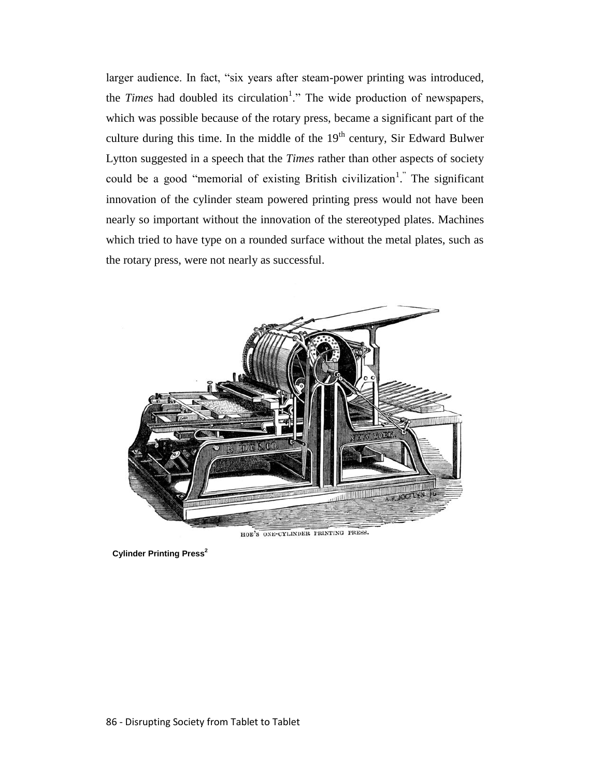larger audience. In fact, "six years after steam-power printing was introduced, the *Times* had doubled its circulation<sup>1</sup>." The wide production of newspapers, which was possible because of the rotary press, became a significant part of the culture during this time. In the middle of the  $19<sup>th</sup>$  century, Sir Edward Bulwer Lytton suggested in a speech that the *Times* rather than other aspects of society could be a good "memorial of existing British civilization<sup>1</sup>." The significant innovation of the cylinder steam powered printing press would not have been nearly so important without the innovation of the stereotyped plates. Machines which tried to have type on a rounded surface without the metal plates, such as the rotary press, were not nearly as successful.



HOE'S ONE-CYLINDER PRINTING PRESS.

**Cylinder Printing Press<sup>2</sup>**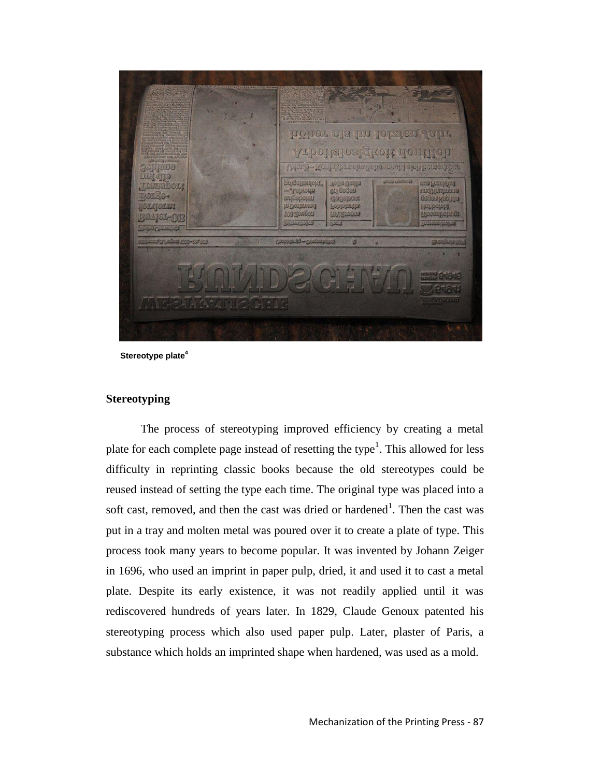

**Stereotype plate<sup>4</sup>**

#### **Stereotyping**

The process of stereotyping improved efficiency by creating a metal plate for each complete page instead of resetting the type<sup>1</sup>. This allowed for less difficulty in reprinting classic books because the old stereotypes could be reused instead of setting the type each time. The original type was placed into a soft cast, removed, and then the cast was dried or hardened<sup>1</sup>. Then the cast was put in a tray and molten metal was poured over it to create a plate of type. This process took many years to become popular. It was invented by Johann Zeiger in 1696, who used an imprint in paper pulp, dried, it and used it to cast a metal plate. Despite its early existence, it was not readily applied until it was rediscovered hundreds of years later. In 1829, Claude Genoux patented his stereotyping process which also used paper pulp. Later, plaster of Paris, a substance which holds an imprinted shape when hardened, was used as a mold.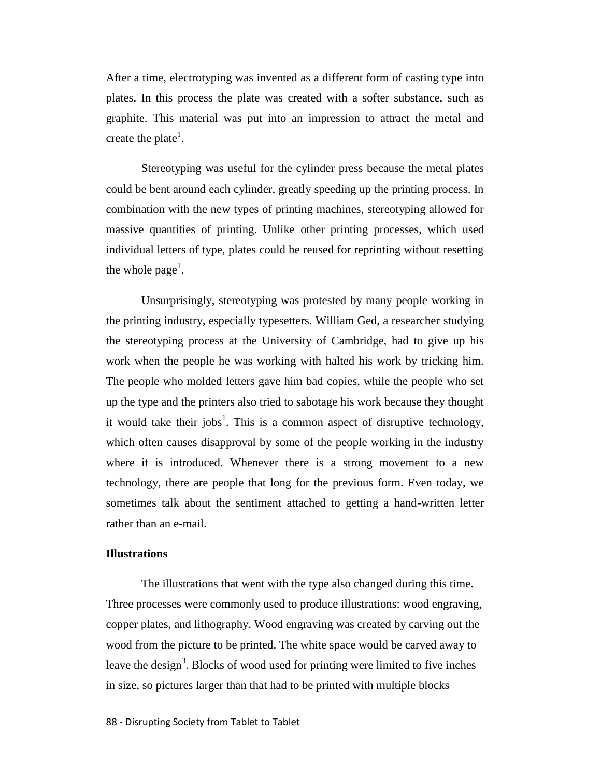After a time, electrotyping was invented as a different form of casting type into plates. In this process the plate was created with a softer substance, such as graphite. This material was put into an impression to attract the metal and create the plate<sup>1</sup>.

Stereotyping was useful for the cylinder press because the metal plates could be bent around each cylinder, greatly speeding up the printing process. In combination with the new types of printing machines, stereotyping allowed for massive quantities of printing. Unlike other printing processes, which used individual letters of type, plates could be reused for reprinting without resetting the whole page<sup>1</sup>.

Unsurprisingly, stereotyping was protested by many people working in the printing industry, especially typesetters. William Ged, a researcher studying the stereotyping process at the University of Cambridge, had to give up his work when the people he was working with halted his work by tricking him. The people who molded letters gave him bad copies, while the people who set up the type and the printers also tried to sabotage his work because they thought it would take their jobs<sup>1</sup>. This is a common aspect of disruptive technology, which often causes disapproval by some of the people working in the industry where it is introduced. Whenever there is a strong movement to a new technology, there are people that long for the previous form. Even today, we sometimes talk about the sentiment attached to getting a hand-written letter rather than an e-mail.

#### **Illustrations**

The illustrations that went with the type also changed during this time. Three processes were commonly used to produce illustrations: wood engraving, copper plates, and lithography. Wood engraving was created by carving out the wood from the picture to be printed. The white space would be carved away to leave the design<sup>3</sup>. Blocks of wood used for printing were limited to five inches in size, so pictures larger than that had to be printed with multiple blocks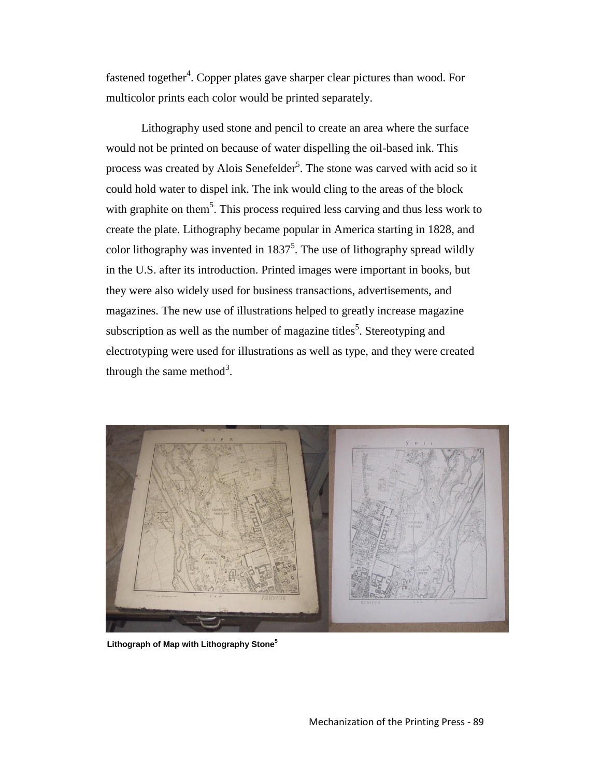fastened together<sup>4</sup>. Copper plates gave sharper clear pictures than wood. For multicolor prints each color would be printed separately.

Lithography used stone and pencil to create an area where the surface would not be printed on because of water dispelling the oil-based ink. This process was created by Alois Senefelder<sup>5</sup>. The stone was carved with acid so it could hold water to dispel ink. The ink would cling to the areas of the block with graphite on them<sup>5</sup>. This process required less carving and thus less work to create the plate. Lithography became popular in America starting in 1828, and color lithography was invented in  $1837^5$ . The use of lithography spread wildly in the U.S. after its introduction. Printed images were important in books, but they were also widely used for business transactions, advertisements, and magazines. The new use of illustrations helped to greatly increase magazine subscription as well as the number of magazine titles<sup>5</sup>. Stereotyping and electrotyping were used for illustrations as well as type, and they were created through the same method<sup>3</sup>.



**Lithograph of Map with Lithography Stone<sup>5</sup>**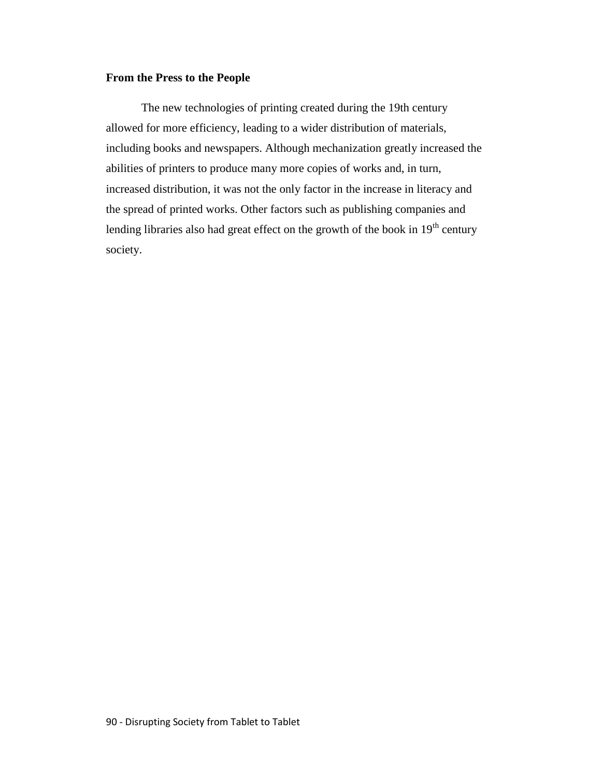#### **From the Press to the People**

The new technologies of printing created during the 19th century allowed for more efficiency, leading to a wider distribution of materials, including books and newspapers. Although mechanization greatly increased the abilities of printers to produce many more copies of works and, in turn, increased distribution, it was not the only factor in the increase in literacy and the spread of printed works. Other factors such as publishing companies and lending libraries also had great effect on the growth of the book in  $19<sup>th</sup>$  century society.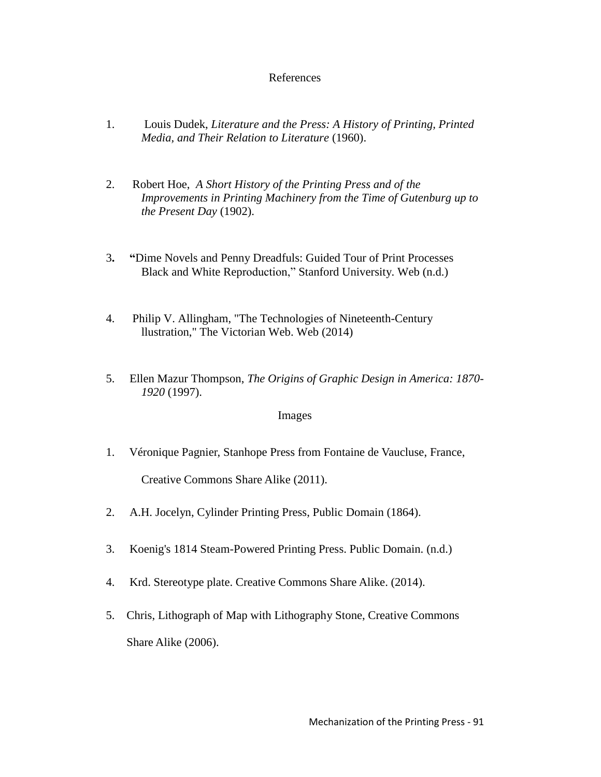#### References

- 1. Louis Dudek, *Literature and the Press: A History of Printing, Printed Media, and Their Relation to Literature* (1960).
- 2. Robert Hoe, *A Short History of the Printing Press and of the Improvements in Printing Machinery from the Time of Gutenburg up to the Present Day* (1902).
- 3**. "**Dime Novels and Penny Dreadfuls: Guided Tour of Print Processes Black and White Reproduction," Stanford University. Web (n.d.)
- 4. Philip V. Allingham, "The Technologies of Nineteenth-Century llustration," The Victorian Web. Web (2014)
- 5. Ellen Mazur Thompson, *The Origins of Graphic Design in America: 1870- 1920* (1997).

#### Images

1. Véronique Pagnier, Stanhope Press from Fontaine de Vaucluse, France,

Creative Commons Share Alike (2011).

- 2. A.H. Jocelyn, Cylinder Printing Press, Public Domain (1864).
- 3. Koenig's 1814 Steam-Powered Printing Press. Public Domain. (n.d.)
- 4. Krd. Stereotype plate. Creative Commons Share Alike. (2014).
- 5. Chris, Lithograph of Map with Lithography Stone, Creative Commons Share Alike (2006).